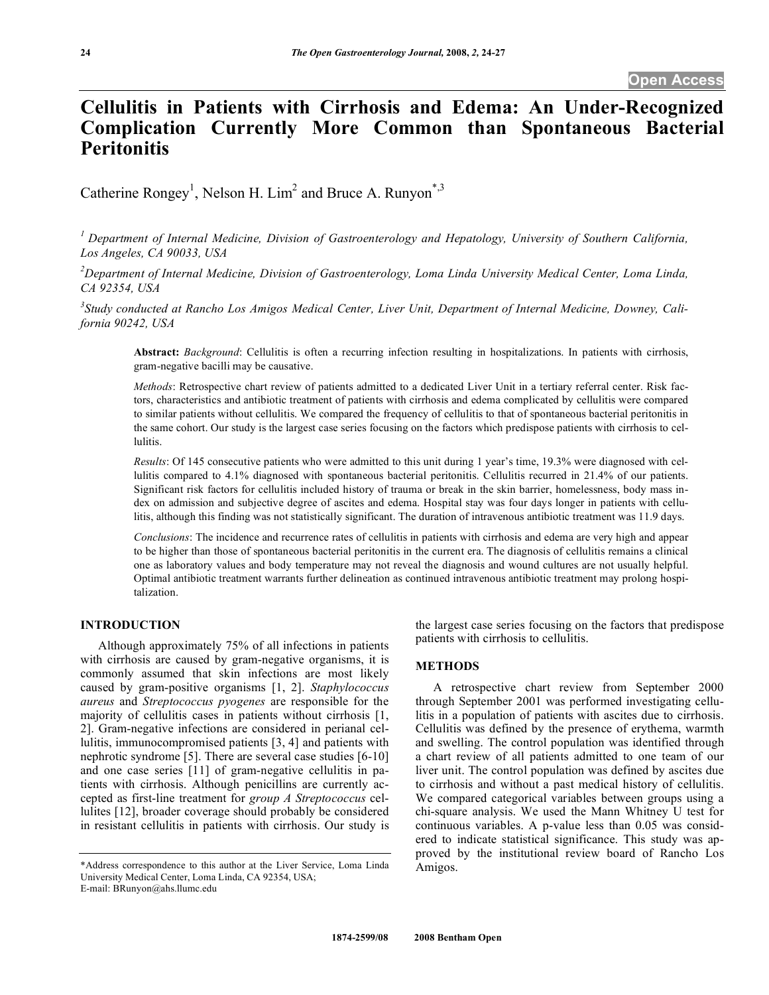# **Cellulitis in Patients with Cirrhosis and Edema: An Under-Recognized Complication Currently More Common than Spontaneous Bacterial Peritonitis**

Catherine Rongey<sup>1</sup>, Nelson H. Lim<sup>2</sup> and Bruce A. Runyon<sup>\*,3</sup>

*1 Department of Internal Medicine, Division of Gastroenterology and Hepatology, University of Southern California, Los Angeles, CA 90033, USA* 

<sup>2</sup> Department of Internal Medicine, Division of Gastroenterology, Loma Linda University Medical Center, Loma Linda, *CA 92354, USA* 

*3 Study conducted at Rancho Los Amigos Medical Center, Liver Unit, Department of Internal Medicine, Downey, California 90242, USA* 

**Abstract:** *Background*: Cellulitis is often a recurring infection resulting in hospitalizations. In patients with cirrhosis, gram-negative bacilli may be causative.

*Methods*: Retrospective chart review of patients admitted to a dedicated Liver Unit in a tertiary referral center. Risk factors, characteristics and antibiotic treatment of patients with cirrhosis and edema complicated by cellulitis were compared to similar patients without cellulitis. We compared the frequency of cellulitis to that of spontaneous bacterial peritonitis in the same cohort. Our study is the largest case series focusing on the factors which predispose patients with cirrhosis to cellulitis.

*Results*: Of 145 consecutive patients who were admitted to this unit during 1 year's time, 19.3% were diagnosed with cellulitis compared to 4.1% diagnosed with spontaneous bacterial peritonitis. Cellulitis recurred in 21.4% of our patients. Significant risk factors for cellulitis included history of trauma or break in the skin barrier, homelessness, body mass index on admission and subjective degree of ascites and edema. Hospital stay was four days longer in patients with cellulitis, although this finding was not statistically significant. The duration of intravenous antibiotic treatment was 11.9 days.

*Conclusions*: The incidence and recurrence rates of cellulitis in patients with cirrhosis and edema are very high and appear to be higher than those of spontaneous bacterial peritonitis in the current era. The diagnosis of cellulitis remains a clinical one as laboratory values and body temperature may not reveal the diagnosis and wound cultures are not usually helpful. Optimal antibiotic treatment warrants further delineation as continued intravenous antibiotic treatment may prolong hospitalization.

# **INTRODUCTION**

 Although approximately 75% of all infections in patients with cirrhosis are caused by gram-negative organisms, it is commonly assumed that skin infections are most likely caused by gram-positive organisms [1, 2]. *Staphylococcus aureus* and *Streptococcus pyogenes* are responsible for the majority of cellulitis cases in patients without cirrhosis [1, 2]. Gram-negative infections are considered in perianal cellulitis, immunocompromised patients [3, 4] and patients with nephrotic syndrome [5]. There are several case studies [6-10] and one case series [11] of gram-negative cellulitis in patients with cirrhosis. Although penicillins are currently accepted as first-line treatment for *group A Streptococcus* cellulites [12], broader coverage should probably be considered in resistant cellulitis in patients with cirrhosis. Our study is

E-mail: BRunyon@ahs.llumc.edu

the largest case series focusing on the factors that predispose patients with cirrhosis to cellulitis.

### **METHODS**

 A retrospective chart review from September 2000 through September 2001 was performed investigating cellulitis in a population of patients with ascites due to cirrhosis. Cellulitis was defined by the presence of erythema, warmth and swelling. The control population was identified through a chart review of all patients admitted to one team of our liver unit. The control population was defined by ascites due to cirrhosis and without a past medical history of cellulitis. We compared categorical variables between groups using a chi-square analysis. We used the Mann Whitney U test for continuous variables. A p-value less than 0.05 was considered to indicate statistical significance. This study was approved by the institutional review board of Rancho Los Amigos.

<sup>\*</sup>Address correspondence to this author at the Liver Service, Loma Linda University Medical Center, Loma Linda, CA 92354, USA;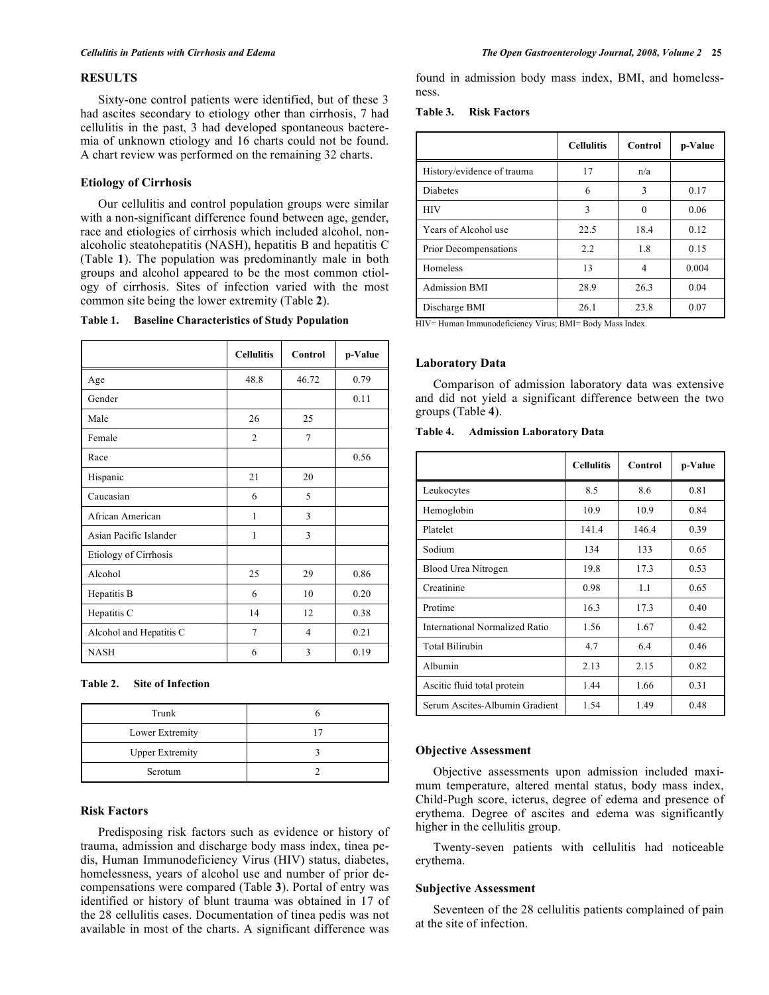# **RESULTS**

 Sixty-one control patients were identified, but of these 3 had ascites secondary to etiology other than cirrhosis, 7 had cellulitis in the past, 3 had developed spontaneous bacteremia of unknown etiology and 16 charts could not be found. A chart review was performed on the remaining 32 charts.

# **Etiology of Cirrhosis**

 Our cellulitis and control population groups were similar with a non-significant difference found between age, gender, race and etiologies of cirrhosis which included alcohol, nonalcoholic steatohepatitis (NASH), hepatitis B and hepatitis C (Table **1**). The population was predominantly male in both groups and alcohol appeared to be the most common etiology of cirrhosis. Sites of infection varied with the most common site being the lower extremity (Table **2**).

| Table 1. |  | <b>Baseline Characteristics of Study Population</b> |  |  |
|----------|--|-----------------------------------------------------|--|--|
|----------|--|-----------------------------------------------------|--|--|

|                         | <b>Cellulitis</b> | Control | p-Value |
|-------------------------|-------------------|---------|---------|
| Age                     | 48.8              | 46.72   | 0.79    |
| Gender                  |                   |         | 0.11    |
| Male                    | 26                | 25      |         |
| Female                  | $\overline{2}$    | 7       |         |
| Race                    |                   |         | 0.56    |
| Hispanic                | 21                | 20      |         |
| Caucasian               | 6                 | 5       |         |
| African American        | 1                 | 3       |         |
| Asian Pacific Islander  | 1                 | 3       |         |
| Etiology of Cirrhosis   |                   |         |         |
| Alcohol                 | 25                | 29      | 0.86    |
| Hepatitis B             | 6                 | 10      | 0.20    |
| Hepatitis C             | 14                | 12      | 0.38    |
| Alcohol and Hepatitis C | $\overline{7}$    | 4       | 0.21    |
| <b>NASH</b>             | 6                 | 3       | 0.19    |

**Table 2. Site of Infection** 

| Trunk                  |  |
|------------------------|--|
| Lower Extremity        |  |
| <b>Upper Extremity</b> |  |
| Scrotum                |  |

# **Risk Factors**

 Predisposing risk factors such as evidence or history of trauma, admission and discharge body mass index, tinea pedis, Human Immunodeficiency Virus (HIV) status, diabetes, homelessness, years of alcohol use and number of prior decompensations were compared (Table **3**). Portal of entry was identified or history of blunt trauma was obtained in 17 of the 28 cellulitis cases. Documentation of tinea pedis was not available in most of the charts. A significant difference was

found in admission body mass index, BMI, and homelessness.

**Table 3. Risk Factors** 

|                            | <b>Cellulitis</b> | Control  | p-Value |
|----------------------------|-------------------|----------|---------|
| History/evidence of trauma | 17                | n/a      |         |
| <b>Diabetes</b>            | 6                 | 3        | 0.17    |
| <b>HIV</b>                 | 3                 | $\theta$ | 0.06    |
| Years of Alcohol use       | 22.5              | 18.4     | 0.12    |
| Prior Decompensations      | 2.2               | 1.8      | 0.15    |
| Homeless                   | 13                | 4        | 0.004   |
| <b>Admission BMI</b>       | 28.9              | 26.3     | 0.04    |
| Discharge BMI              | 26.1              | 23.8     | 0.07    |

HIV= Human Immunodeficiency Virus; BMI= Body Mass Index.

### **Laboratory Data**

 Comparison of admission laboratory data was extensive and did not yield a significant difference between the two groups (Table **4**).

### **Table 4. Admission Laboratory Data**

|                                | <b>Cellulitis</b> | Control | p-Value |
|--------------------------------|-------------------|---------|---------|
| Leukocytes                     | 8.5               | 8.6     | 0.81    |
| Hemoglobin                     | 10.9              | 10.9    | 0.84    |
| Platelet                       | 141.4             | 146.4   | 0.39    |
| Sodium                         | 134               | 133     | 0.65    |
| Blood Urea Nitrogen            | 19.8              | 17.3    | 0.53    |
| Creatinine                     | 0.98              | 1.1     | 0.65    |
| Protime                        | 16.3              | 17.3    | 0.40    |
| International Normalized Ratio | 1.56              | 1.67    | 0.42    |
| <b>Total Bilirubin</b>         | 4.7               | 6.4     | 0.46    |
| Albumin                        | 2.13              | 2.15    | 0.82    |
| Ascitic fluid total protein    | 1.44              | 1.66    | 0.31    |
| Serum Ascites-Albumin Gradient | 1.54              | 1.49    | 0.48    |

# **Objective Assessment**

 Objective assessments upon admission included maximum temperature, altered mental status, body mass index, Child-Pugh score, icterus, degree of edema and presence of erythema. Degree of ascites and edema was significantly higher in the cellulitis group.

 Twenty-seven patients with cellulitis had noticeable erythema.

#### **Subjective Assessment**

 Seventeen of the 28 cellulitis patients complained of pain at the site of infection.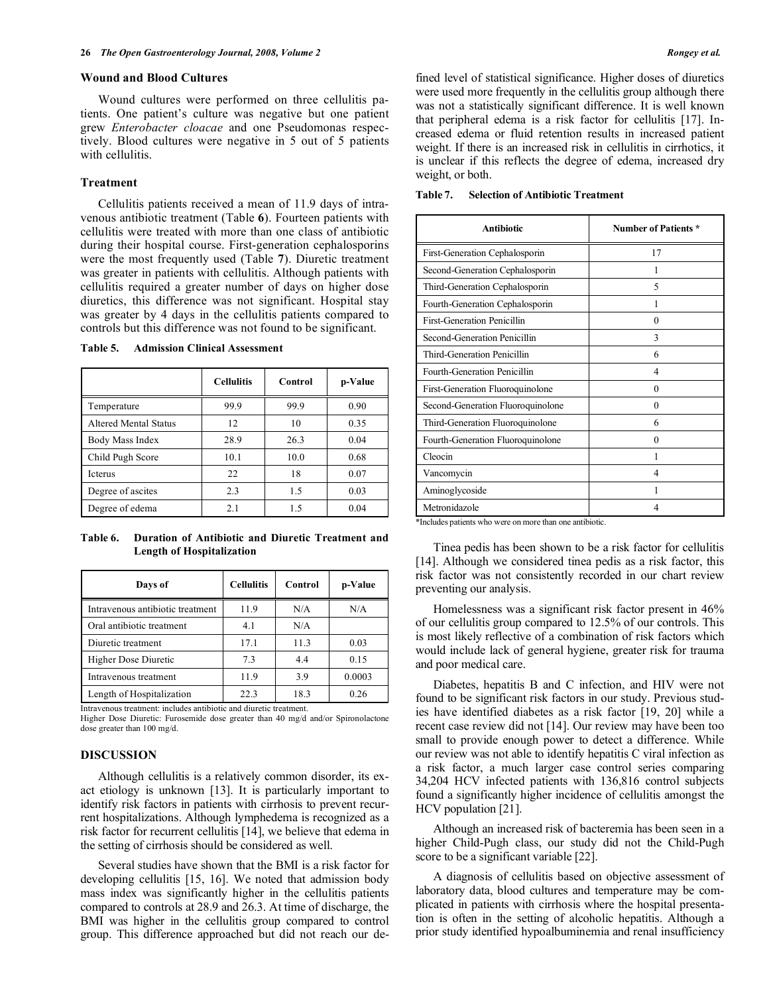#### **Wound and Blood Cultures**

 Wound cultures were performed on three cellulitis patients. One patient's culture was negative but one patient grew *Enterobacter cloacae* and one Pseudomonas respectively. Blood cultures were negative in 5 out of 5 patients with cellulitis.

# **Treatment**

 Cellulitis patients received a mean of 11.9 days of intravenous antibiotic treatment (Table **6**). Fourteen patients with cellulitis were treated with more than one class of antibiotic during their hospital course. First-generation cephalosporins were the most frequently used (Table **7**). Diuretic treatment was greater in patients with cellulitis. Although patients with cellulitis required a greater number of days on higher dose diuretics, this difference was not significant. Hospital stay was greater by 4 days in the cellulitis patients compared to controls but this difference was not found to be significant.

**Table 5. Admission Clinical Assessment** 

|                       | <b>Cellulitis</b> | Control | p-Value |
|-----------------------|-------------------|---------|---------|
| Temperature           | 99.9              | 99.9    | 0.90    |
| Altered Mental Status | 12                | 10      | 0.35    |
| Body Mass Index       | 28.9              | 26.3    | 0.04    |
| Child Pugh Score      | 10.1              | 10.0    | 0.68    |
| <b>Icterus</b>        | 22                | 18      | 0.07    |
| Degree of ascites     | 2.3               | 1.5     | 0.03    |
| Degree of edema       | 2.1               | 1.5     | 0.04    |

**Table 6. Duration of Antibiotic and Diuretic Treatment and Length of Hospitalization** 

| Days of                          | <b>Cellulitis</b> | Control | p-Value |
|----------------------------------|-------------------|---------|---------|
| Intravenous antibiotic treatment | 11.9              | N/A     | N/A     |
| Oral antibiotic treatment        | 4.1               | N/A     |         |
| Diuretic treatment               | 17.1              | 11.3    | 0.03    |
| <b>Higher Dose Diuretic</b>      | 7.3               | 4.4     | 0.15    |
| Intravenous treatment            | 11.9              | 3.9     | 0.0003  |
| Length of Hospitalization        | 22.3              | 18.3    | 0.26    |

Intravenous treatment: includes antibiotic and diuretic treatment.

Higher Dose Diuretic: Furosemide dose greater than 40 mg/d and/or Spironolactone dose greater than 100 mg/d.

# **DISCUSSION**

 Although cellulitis is a relatively common disorder, its exact etiology is unknown [13]. It is particularly important to identify risk factors in patients with cirrhosis to prevent recurrent hospitalizations. Although lymphedema is recognized as a risk factor for recurrent cellulitis [14], we believe that edema in the setting of cirrhosis should be considered as well.

 Several studies have shown that the BMI is a risk factor for developing cellulitis [15, 16]. We noted that admission body mass index was significantly higher in the cellulitis patients compared to controls at 28.9 and 26.3. At time of discharge, the BMI was higher in the cellulitis group compared to control group. This difference approached but did not reach our defined level of statistical significance. Higher doses of diuretics were used more frequently in the cellulitis group although there was not a statistically significant difference. It is well known that peripheral edema is a risk factor for cellulitis [17]. Increased edema or fluid retention results in increased patient weight. If there is an increased risk in cellulitis in cirrhotics, it is unclear if this reflects the degree of edema, increased dry weight, or both.

**Table 7. Selection of Antibiotic Treatment** 

| Antibiotic                                                                   | <b>Number of Patients *</b> |
|------------------------------------------------------------------------------|-----------------------------|
| First-Generation Cephalosporin                                               | 17                          |
| Second-Generation Cephalosporin                                              |                             |
| Third-Generation Cephalosporin                                               | 5                           |
| Fourth-Generation Cephalosporin                                              |                             |
| <b>First-Generation Penicillin</b>                                           | $\theta$                    |
| Second-Generation Penicillin                                                 | 3                           |
| Third-Generation Penicillin                                                  | 6                           |
| Fourth-Generation Penicillin                                                 | 4                           |
| First-Generation Fluoroquinolone                                             | $\theta$                    |
| Second-Generation Fluoroquinolone                                            | $\theta$                    |
| Third-Generation Fluoroquinolone                                             | 6                           |
| Fourth-Generation Fluoroquinolone                                            | $\theta$                    |
| Cleocin                                                                      | 1                           |
| Vancomycin                                                                   | 4                           |
| Aminoglycoside                                                               | 1                           |
| Metronidazole<br>ومعارضه والمحاملة والمحافظ والمستعار والمستلف والأنافذ<br>. | 4<br>بالموالية والمد        |

\*Includes patients who were on more than one antibiotic.

 Tinea pedis has been shown to be a risk factor for cellulitis [14]. Although we considered tinea pedis as a risk factor, this risk factor was not consistently recorded in our chart review preventing our analysis.

 Homelessness was a significant risk factor present in 46% of our cellulitis group compared to 12.5% of our controls. This is most likely reflective of a combination of risk factors which would include lack of general hygiene, greater risk for trauma and poor medical care.

 Diabetes, hepatitis B and C infection, and HIV were not found to be significant risk factors in our study. Previous studies have identified diabetes as a risk factor [19, 20] while a recent case review did not [14]. Our review may have been too small to provide enough power to detect a difference. While our review was not able to identify hepatitis C viral infection as a risk factor, a much larger case control series comparing 34,204 HCV infected patients with 136,816 control subjects found a significantly higher incidence of cellulitis amongst the HCV population [21].

 Although an increased risk of bacteremia has been seen in a higher Child-Pugh class, our study did not the Child-Pugh score to be a significant variable [22].

 A diagnosis of cellulitis based on objective assessment of laboratory data, blood cultures and temperature may be complicated in patients with cirrhosis where the hospital presentation is often in the setting of alcoholic hepatitis. Although a prior study identified hypoalbuminemia and renal insufficiency